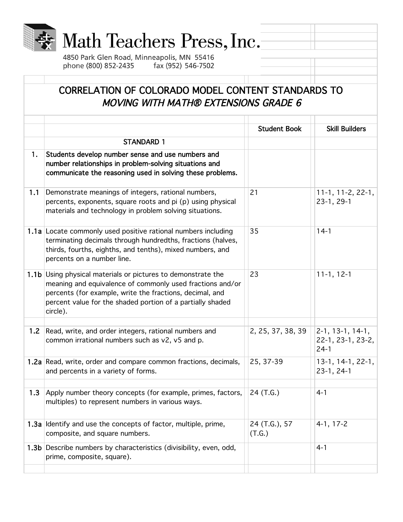

## Math Teachers Press, Inc.

4850 Park Glen Road, Minneapolis, MN 55416 phone (800) 852-2435 fax (952) 546-7502

## CORRELATION OF COLORADO MODEL CONTENT STANDARDS TO MOVING WITH MATH® EXTENSIONS GRADE 6

|     |                                                                                                                                                                                                                                                                 | <b>Student Book</b>     | <b>Skill Builders</b>                             |
|-----|-----------------------------------------------------------------------------------------------------------------------------------------------------------------------------------------------------------------------------------------------------------------|-------------------------|---------------------------------------------------|
|     | <b>STANDARD 1</b>                                                                                                                                                                                                                                               |                         |                                                   |
| 1.  | Students develop number sense and use numbers and<br>number relationships in problem-solving situations and<br>communicate the reasoning used in solving these problems.                                                                                        |                         |                                                   |
| 1.1 | Demonstrate meanings of integers, rational numbers,<br>percents, exponents, square roots and pi (p) using physical<br>materials and technology in problem solving situations.                                                                                   | 21                      | $11-1, 11-2, 22-1,$<br>$23-1, 29-1$               |
|     | 1.1a Locate commonly used positive rational numbers including<br>terminating decimals through hundredths, fractions (halves,<br>thirds, fourths, eighths, and tenths), mixed numbers, and<br>percents on a number line.                                         | 35                      | $14-1$                                            |
|     | 1.1b Using physical materials or pictures to demonstrate the<br>meaning and equivalence of commonly used fractions and/or<br>percents (for example, write the fractions, decimal, and<br>percent value for the shaded portion of a partially shaded<br>circle). | 23                      | $11-1, 12-1$                                      |
| 1.2 | Read, write, and order integers, rational numbers and<br>common irrational numbers such as v2, v5 and p.                                                                                                                                                        | 2, 25, 37, 38, 39       | $2-1, 13-1, 14-1,$<br>22-1, 23-1, 23-2,<br>$24-1$ |
|     | 1.2a Read, write, order and compare common fractions, decimals,<br>and percents in a variety of forms.                                                                                                                                                          | 25, 37-39               | $13-1, 14-1, 22-1,$<br>$23-1, 24-1$               |
| 1.3 | Apply number theory concepts (for example, primes, factors,<br>multiples) to represent numbers in various ways.                                                                                                                                                 | 24 (T.G.)               | $4 - 1$                                           |
|     | 1.3a Identify and use the concepts of factor, multiple, prime,<br>composite, and square numbers.                                                                                                                                                                | 24 (T.G.), 57<br>(T.G.) | $4-1, 17-2$                                       |
|     | 1.3b Describe numbers by characteristics (divisibility, even, odd,<br>prime, composite, square).                                                                                                                                                                |                         | $4 - 1$                                           |
|     |                                                                                                                                                                                                                                                                 |                         |                                                   |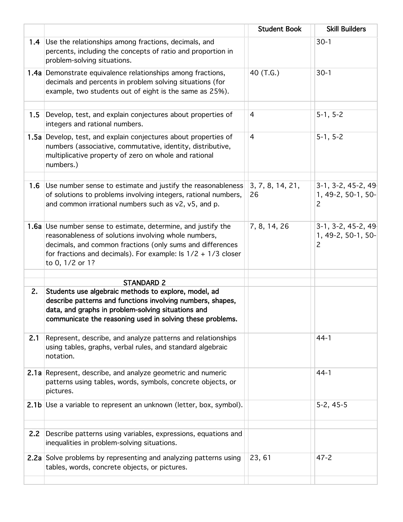|     |                                                                                                                                                                                                                                                                                 | <b>Student Book</b>    | <b>Skill Builders</b>                                        |
|-----|---------------------------------------------------------------------------------------------------------------------------------------------------------------------------------------------------------------------------------------------------------------------------------|------------------------|--------------------------------------------------------------|
| 1.4 | Use the relationships among fractions, decimals, and<br>percents, including the concepts of ratio and proportion in<br>problem-solving situations.                                                                                                                              |                        | $30-1$                                                       |
|     | 1.4a Demonstrate equivalence relationships among fractions,<br>decimals and percents in problem solving situations (for<br>example, two students out of eight is the same as 25%).                                                                                              | 40 (T.G.)              | $30-1$                                                       |
| 1.5 | Develop, test, and explain conjectures about properties of<br>integers and rational numbers.                                                                                                                                                                                    | 4                      | $5-1, 5-2$                                                   |
|     | 1.5a Develop, test, and explain conjectures about properties of<br>numbers (associative, commutative, identity, distributive,<br>multiplicative property of zero on whole and rational<br>numbers.)                                                                             | $\overline{4}$         | $5-1, 5-2$                                                   |
| 1.6 | Use number sense to estimate and justify the reasonableness<br>of solutions to problems involving integers, rational numbers,<br>and common irrational numbers such as v2, v5, and p.                                                                                           | 3, 7, 8, 14, 21,<br>26 | $3-1, 3-2, 45-2, 49$<br>1, 49-2, 50-1, 50-<br>$\overline{c}$ |
|     | <b>1.6a</b> Use number sense to estimate, determine, and justify the<br>reasonableness of solutions involving whole numbers,<br>decimals, and common fractions (only sums and differences<br>for fractions and decimals). For example: Is $1/2 + 1/3$ closer<br>to 0, 1/2 or 1? | 7, 8, 14, 26           | $3-1, 3-2, 45-2, 49$<br>1, 49-2, 50-1, 50-<br>$\overline{c}$ |
|     |                                                                                                                                                                                                                                                                                 |                        |                                                              |
| 2.  | <b>STANDARD 2</b>                                                                                                                                                                                                                                                               |                        |                                                              |
|     | Students use algebraic methods to explore, model, ad<br>describe patterns and functions involving numbers, shapes,<br>data, and graphs in problem-solving situations and<br>communicate the reasoning used in solving these problems.                                           |                        |                                                              |
| 2.1 | Represent, describe, and analyze patterns and relationships<br>using tables, graphs, verbal rules, and standard algebraic<br>notation.                                                                                                                                          |                        | $44-1$                                                       |
|     | 2.1a Represent, describe, and analyze geometric and numeric<br>patterns using tables, words, symbols, concrete objects, or<br>pictures.                                                                                                                                         |                        | $44-1$                                                       |
|     | 2.1b Use a variable to represent an unknown (letter, box, symbol).                                                                                                                                                                                                              |                        | $5-2, 45-5$                                                  |
| 2.2 | Describe patterns using variables, expressions, equations and<br>inequalities in problem-solving situations.                                                                                                                                                                    |                        |                                                              |
|     | 2.2a Solve problems by representing and analyzing patterns using<br>tables, words, concrete objects, or pictures.                                                                                                                                                               | 23,61                  | $47 - 2$                                                     |
|     |                                                                                                                                                                                                                                                                                 |                        |                                                              |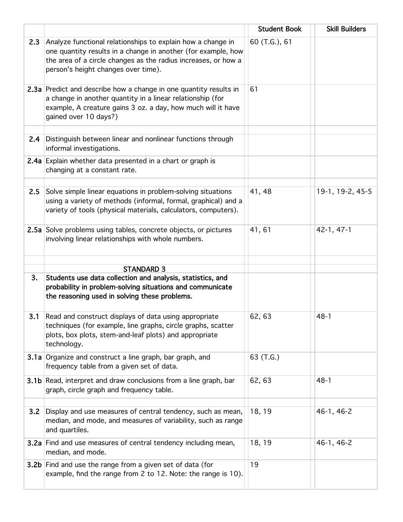|     |                                                                                                                                                                                                                                       | <b>Student Book</b> | <b>Skill Builders</b> |
|-----|---------------------------------------------------------------------------------------------------------------------------------------------------------------------------------------------------------------------------------------|---------------------|-----------------------|
| 2.3 | Analyze functional relationships to explain how a change in<br>one quantity results in a change in another (for example, how<br>the area of a circle changes as the radius increases, or how a<br>person's height changes over time). | 60 (T.G.), 61       |                       |
|     | 2.3a Predict and describe how a change in one quantity results in<br>a change in another quantity in a linear relationship (for<br>example, A creature gains 3 oz. a day, how much will it have<br>gained over 10 days?)              | 61                  |                       |
| 2.4 | Distinguish between linear and nonlinear functions through<br>informal investigations.                                                                                                                                                |                     |                       |
|     | 2.4a Explain whether data presented in a chart or graph is<br>changing at a constant rate.                                                                                                                                            |                     |                       |
| 2.5 | Solve simple linear equations in problem-solving situations<br>using a variety of methods (informal, formal, graphical) and a<br>variety of tools (physical materials, calculators, computers).                                       | 41, 48              | 19-1, 19-2, 45-5      |
|     | 2.5a Solve problems using tables, concrete objects, or pictures<br>involving linear relationships with whole numbers.                                                                                                                 | 41,61               | $42-1, 47-1$          |
|     | <b>STANDARD 3</b>                                                                                                                                                                                                                     |                     |                       |
| 3.  | Students use data collection and analysis, statistics, and<br>probability in problem-solving situations and communicate<br>the reasoning used in solving these problems.                                                              |                     |                       |
| 3.1 | Read and construct displays of data using appropriate<br>techniques (for example, line graphs, circle graphs, scatter<br>plots, box plots, stem-and-leaf plots) and appropriate<br>technology.                                        | 62, 63              | $48 - 1$              |
|     | 3.1a Organize and construct a line graph, bar graph, and<br>frequency table from a given set of data.                                                                                                                                 | 63 (T.G.)           |                       |
|     | <b>3.1b</b> Read, interpret and draw conclusions from a line graph, bar<br>graph, circle graph and frequency table.                                                                                                                   | 62, 63              | $48 - 1$              |
| 3.2 | Display and use measures of central tendency, such as mean,<br>median, and mode, and measures of variability, such as range<br>and quartiles.                                                                                         | 18, 19              | 46-1, 46-2            |
|     | 3.2a Find and use measures of central tendency including mean,<br>median, and mode.                                                                                                                                                   | 18, 19              | 46-1, 46-2            |
|     | 3.2b Find and use the range from a given set of data (for<br>example, find the range from 2 to 12. Note: the range is 10).                                                                                                            | 19                  |                       |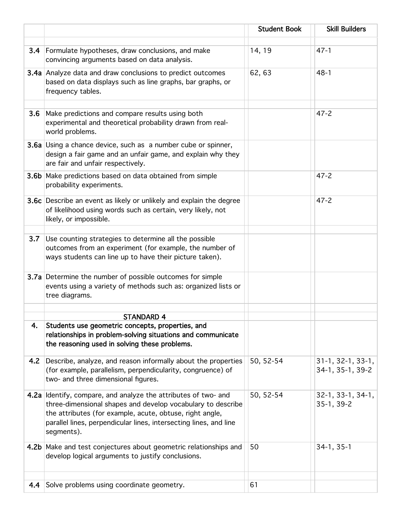|     |                                                                                                                                                                                                                                                                              | <b>Student Book</b> | <b>Skill Builders</b>                   |
|-----|------------------------------------------------------------------------------------------------------------------------------------------------------------------------------------------------------------------------------------------------------------------------------|---------------------|-----------------------------------------|
|     |                                                                                                                                                                                                                                                                              |                     |                                         |
|     | <b>3.4</b> Formulate hypotheses, draw conclusions, and make<br>convincing arguments based on data analysis.                                                                                                                                                                  | 14, 19              | $47 - 1$                                |
|     | 3.4a Analyze data and draw conclusions to predict outcomes<br>based on data displays such as line graphs, bar graphs, or<br>frequency tables.                                                                                                                                | 62, 63              | $48 - 1$                                |
| 3.6 | Make predictions and compare results using both                                                                                                                                                                                                                              |                     | $47 - 2$                                |
|     | experimental and theoretical probability drawn from real-<br>world problems.                                                                                                                                                                                                 |                     |                                         |
|     | <b>3.6a</b> Using a chance device, such as a number cube or spinner,<br>design a fair game and an unfair game, and explain why they<br>are fair and unfair respectively.                                                                                                     |                     |                                         |
|     | 3.6b Make predictions based on data obtained from simple<br>probability experiments.                                                                                                                                                                                         |                     | $47 - 2$                                |
|     | <b>3.6c</b> Describe an event as likely or unlikely and explain the degree<br>of likelihood using words such as certain, very likely, not<br>likely, or impossible.                                                                                                          |                     | $47 - 2$                                |
|     | Use counting strategies to determine all the possible                                                                                                                                                                                                                        |                     |                                         |
| 3.7 | outcomes from an experiment (for example, the number of<br>ways students can line up to have their picture taken).                                                                                                                                                           |                     |                                         |
|     | 3.7a Determine the number of possible outcomes for simple<br>events using a variety of methods such as: organized lists or<br>tree diagrams.                                                                                                                                 |                     |                                         |
|     |                                                                                                                                                                                                                                                                              |                     |                                         |
| 4.  | <b>STANDARD 4</b><br>Students use geometric concepts, properties, and<br>relationships in problem-solving situations and communicate<br>the reasoning used in solving these problems.                                                                                        |                     |                                         |
| 4.2 | Describe, analyze, and reason informally about the properties<br>(for example, parallelism, perpendicularity, congruence) of<br>two- and three dimensional figures.                                                                                                          | 50, 52-54           | $31-1, 32-1, 33-1,$<br>34-1, 35-1, 39-2 |
|     | 4.2a Identify, compare, and analyze the attributes of two- and<br>three-dimensional shapes and develop vocabulary to describe<br>the attributes (for example, acute, obtuse, right angle,<br>parallel lines, perpendicular lines, intersecting lines, and line<br>segments). | 50, 52-54           | 32-1, 33-1, 34-1,<br>$35-1, 39-2$       |
|     | 4.2b Make and test conjectures about geometric relationships and<br>develop logical arguments to justify conclusions.                                                                                                                                                        | 50                  | $34-1, 35-1$                            |
|     |                                                                                                                                                                                                                                                                              |                     |                                         |
| 4.4 | Solve problems using coordinate geometry.                                                                                                                                                                                                                                    | 61                  |                                         |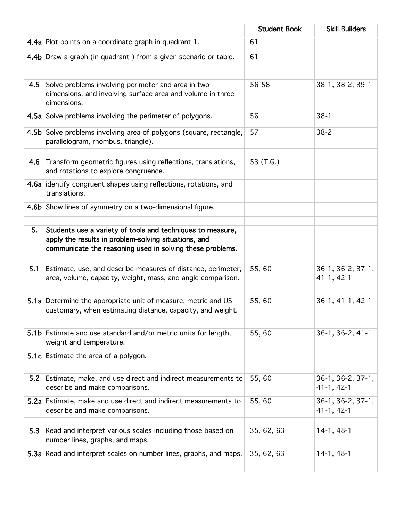|     |                                                                                                                                                                                 | <b>Student Book</b> | <b>Skill Builders</b>             |
|-----|---------------------------------------------------------------------------------------------------------------------------------------------------------------------------------|---------------------|-----------------------------------|
|     | 4.4a Plot points on a coordinate graph in quadrant 1.                                                                                                                           | 61                  |                                   |
|     | 4.4b Draw a graph (in quadrant) from a given scenario or table.                                                                                                                 | 61                  |                                   |
| 4.5 | Solve problems involving perimeter and area in two<br>dimensions, and involving surface area and volume in three<br>dimensions.                                                 | 56-58               | 38-1, 38-2, 39-1                  |
|     | 4.5a Solve problems involving the perimeter of polygons.                                                                                                                        | 56                  | $38-1$                            |
|     | 4.5b Solve problems involving area of polygons (square, rectangle,<br>parallelogram, rhombus, triangle).                                                                        | 57                  | $38 - 2$                          |
| 4.6 | Transform geometric figures using reflections, translations,<br>and rotations to explore congruence.                                                                            | 53 (T.G.)           |                                   |
|     | 4.6a identify congruent shapes using reflections, rotations, and<br>translations.                                                                                               |                     |                                   |
|     | 4.6b Show lines of symmetry on a two-dimensional figure.                                                                                                                        |                     |                                   |
| 5.  | Students use a variety of tools and techniques to measure,<br>apply the results in problem-solving situations, and<br>communicate the reasoning used in solving these problems. |                     |                                   |
| 5.1 | Estimate, use, and describe measures of distance, perimeter,<br>area, volume, capacity, weight, mass, and angle comparison.                                                     | 55,60               | 36-1, 36-2, 37-1,<br>$41-1, 42-1$ |
|     | 5.1a Determine the appropriate unit of measure, metric and US<br>customary, when estimating distance, capacity, and weight.                                                     | 55,60               | 36-1, 41-1, 42-1                  |
|     | 5.1b Estimate and use standard and/or metric units for length,<br>weight and temperature.                                                                                       | 55,60               | 36-1, 36-2, 41-1                  |
|     | 5.1c Estimate the area of a polygon.                                                                                                                                            |                     |                                   |
| 5.2 | Estimate, make, and use direct and indirect measurements to<br>describe and make comparisons.                                                                                   | 55,60               | 36-1, 36-2, 37-1,<br>$41-1, 42-1$ |
|     | 5.2a Estimate, make and use direct and indirect measurements to<br>describe and make comparisons.                                                                               | 55,60               | 36-1, 36-2, 37-1,<br>$41-1, 42-1$ |
| 5.3 | Read and interpret various scales including those based on<br>number lines, graphs, and maps.                                                                                   | 35, 62, 63          | $14-1, 48-1$                      |
|     | 5.3a Read and interpret scales on number lines, graphs, and maps.                                                                                                               | 35, 62, 63          | $14-1, 48-1$                      |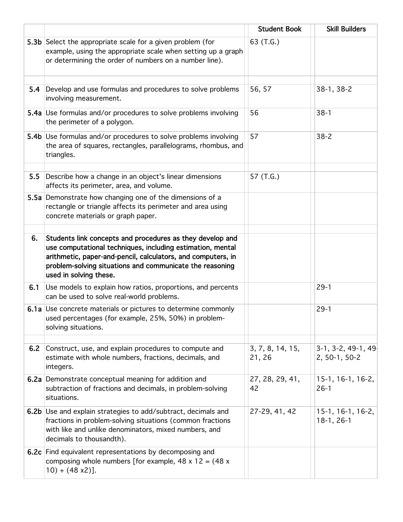|     |                                                                                                                                                                                                                                                                               | <b>Student Book</b>        | <b>Skill Builders</b>               |
|-----|-------------------------------------------------------------------------------------------------------------------------------------------------------------------------------------------------------------------------------------------------------------------------------|----------------------------|-------------------------------------|
|     | 5.3b Select the appropriate scale for a given problem (for<br>example, using the appropriate scale when setting up a graph<br>or determining the order of numbers on a number line).                                                                                          | 63 (T.G.)                  |                                     |
| 5.4 | Develop and use formulas and procedures to solve problems<br>involving measurement.                                                                                                                                                                                           | 56, 57                     | 38-1, 38-2                          |
|     | 5.4a Use formulas and/or procedures to solve problems involving<br>the perimeter of a polygon.                                                                                                                                                                                | 56                         | $38-1$                              |
|     | 5.4b Use formulas and/or procedures to solve problems involving<br>the area of squares, rectangles, parallelograms, rhombus, and<br>triangles.                                                                                                                                | 57                         | $38 - 2$                            |
| 5.5 | Describe how a change in an object's linear dimensions<br>affects its perimeter, area, and volume.                                                                                                                                                                            | 57 (T.G.)                  |                                     |
|     | 5.5a Demonstrate how changing one of the dimensions of a<br>rectangle or triangle affects its perimeter and area using<br>concrete materials or graph paper.                                                                                                                  |                            |                                     |
| 6.  | Students link concepts and procedures as they develop and<br>use computational techniques, including estimation, mental<br>arithmetic, paper-and-pencil, calculators, and computers, in<br>problem-solving situations and communicate the reasoning<br>used in solving these. |                            |                                     |
| 6.1 | Use models to explain how ratios, proportions, and percents<br>can be used to solve real-world problems.                                                                                                                                                                      |                            | $29-1$                              |
|     | 6.1a Use concrete materials or pictures to determine commonly<br>used percentages (for example, 25%, 50%) in problem-<br>solving situations.                                                                                                                                  |                            | $29-1$                              |
| 6.2 | Construct, use, and explain procedures to compute and<br>estimate with whole numbers, fractions, decimals, and<br>integers.                                                                                                                                                   | 3, 7, 8, 14, 15,<br>21, 26 | 3-1, 3-2, 49-1, 49<br>2, 50-1, 50-2 |
|     | 6.2a Demonstrate conceptual meaning for addition and<br>subtraction of fractions and decimals, in problem-solving<br>situations.                                                                                                                                              | 27, 28, 29, 41,<br>42      | 15-1, 16-1, 16-2,<br>$26-1$         |
|     | 6.2b Use and explain strategies to add/subtract, decimals and<br>fractions in problem-solving situations (common fractions<br>with like and unlike denominators, mixed numbers, and<br>decimals to thousandth).                                                               | 27-29, 41, 42              | 15-1, 16-1, 16-2,<br>$18-1, 26-1$   |
|     | 6.2c Find equivalent representations by decomposing and<br>composing whole numbers [for example, 48 x 12 = $(48 x$<br>$10) + (48 \times 2)$ ].                                                                                                                                |                            |                                     |